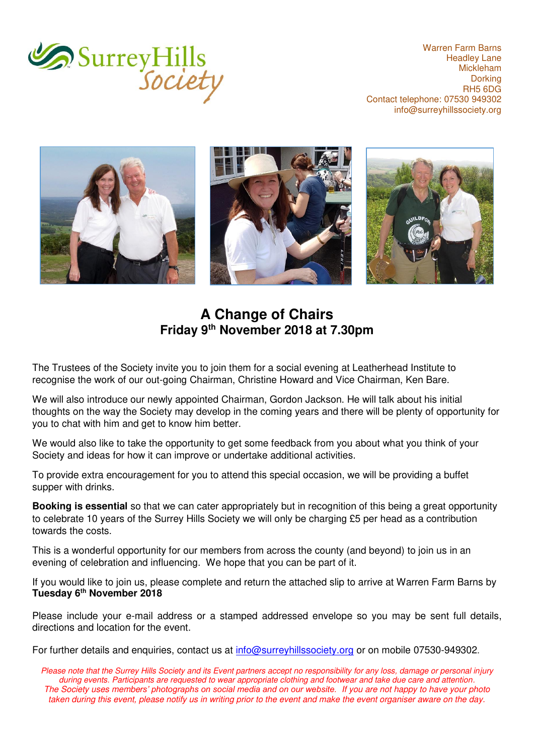

Warren Farm Barns Headley Lane Mickleham **Dorking** RH5 6DG Contact telephone: 07530 949302 [info@surreyhillssociety.org](mailto:chairman@surreyhillssociety.org)



## **A Change of Chairs Friday 9th November 2018 at 7.30pm**

The Trustees of the Society invite you to join them for a social evening at Leatherhead Institute to recognise the work of our out-going Chairman, Christine Howard and Vice Chairman, Ken Bare.

We will also introduce our newly appointed Chairman, Gordon Jackson. He will talk about his initial thoughts on the way the Society may develop in the coming years and there will be plenty of opportunity for you to chat with him and get to know him better.

We would also like to take the opportunity to get some feedback from you about what you think of your Society and ideas for how it can improve or undertake additional activities.

To provide extra encouragement for you to attend this special occasion, we will be providing a buffet supper with drinks.

**Booking is essential** so that we can cater appropriately but in recognition of this being a great opportunity to celebrate 10 years of the Surrey Hills Society we will only be charging £5 per head as a contribution towards the costs.

This is a wonderful opportunity for our members from across the county (and beyond) to join us in an evening of celebration and influencing. We hope that you can be part of it.

If you would like to join us, please complete and return the attached slip to arrive at Warren Farm Barns by **Tuesday 6th November 2018**

Please include your e-mail address or a stamped addressed envelope so you may be sent full details, directions and location for the event.

For further details and enquiries, contact us at [info@surreyhillssociety.org](mailto:info@surreyhillssociety.org) or on mobile 07530-949302.

*Please note that the Surrey Hills Society and its Event partners accept no responsibility for any loss, damage or personal injury during events. Participants are requested to wear appropriate clothing and footwear and take due care and attention. The Society uses members' photographs on social media and on our website. If you are not happy to have your photo taken during this event, please notify us in writing prior to the event and make the event organiser aware on the day.*